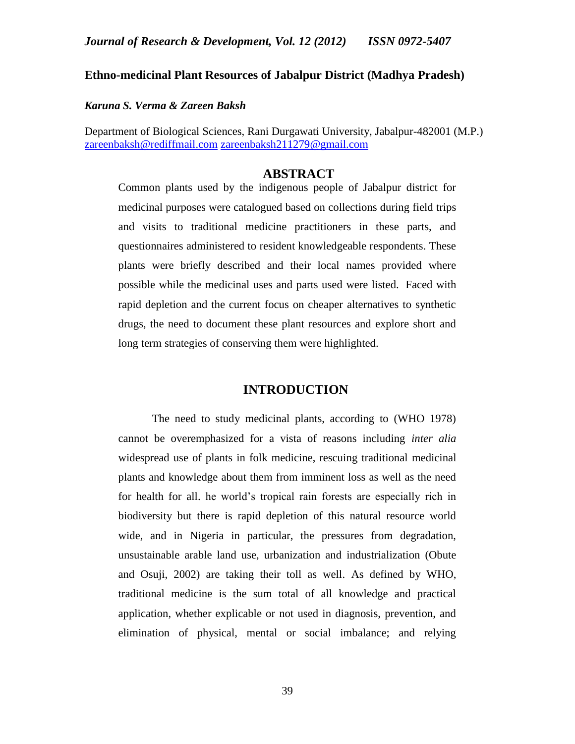# **Ethno-medicinal Plant Resources of Jabalpur District (Madhya Pradesh)**

## *Karuna S. Verma & Zareen Baksh*

Department of Biological Sciences, Rani Durgawati University, Jabalpur-482001 (M.P.) [zareenbaksh@rediffmail.com](mailto:zareenbaksh@rediffmail.com) [zareenbaksh211279@gmail.com](mailto:zareenbaksh211279@gmail.com)

# **ABSTRACT**

Common plants used by the indigenous people of Jabalpur district for medicinal purposes were catalogued based on collections during field trips and visits to traditional medicine practitioners in these parts, and questionnaires administered to resident knowledgeable respondents. These plants were briefly described and their local names provided where possible while the medicinal uses and parts used were listed. Faced with rapid depletion and the current focus on cheaper alternatives to synthetic drugs, the need to document these plant resources and explore short and long term strategies of conserving them were highlighted.

## **INTRODUCTION**

The need to study medicinal plants, according to (WHO 1978) cannot be overemphasized for a vista of reasons including *inter alia* widespread use of plants in folk medicine, rescuing traditional medicinal plants and knowledge about them from imminent loss as well as the need for health for all. he world's tropical rain forests are especially rich in biodiversity but there is rapid depletion of this natural resource world wide, and in Nigeria in particular, the pressures from degradation, unsustainable arable land use, urbanization and industrialization (Obute and Osuji, 2002) are taking their toll as well. As defined by WHO, traditional medicine is the sum total of all knowledge and practical application, whether explicable or not used in diagnosis, prevention, and elimination of physical, mental or social imbalance; and relying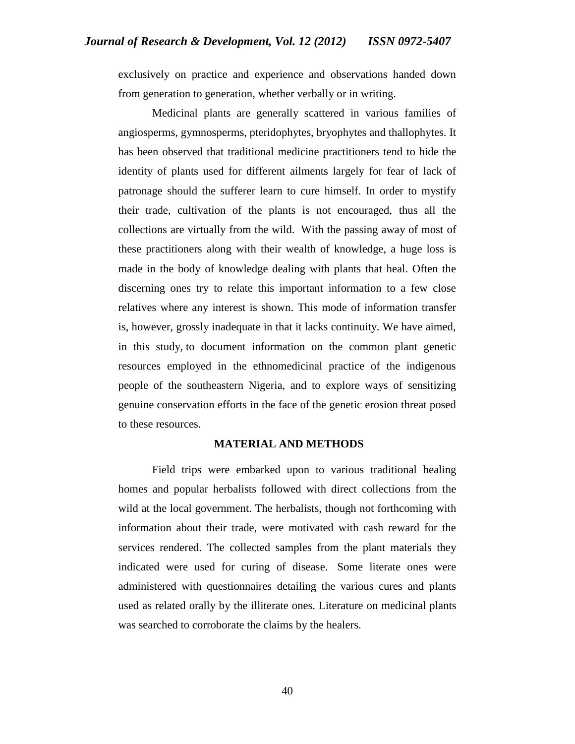exclusively on practice and experience and observations handed down from generation to generation, whether verbally or in writing.

Medicinal plants are generally scattered in various families of angiosperms, gymnosperms, pteridophytes, bryophytes and thallophytes. It has been observed that traditional medicine practitioners tend to hide the identity of plants used for different ailments largely for fear of lack of patronage should the sufferer learn to cure himself. In order to mystify their trade, cultivation of the plants is not encouraged, thus all the collections are virtually from the wild. With the passing away of most of these practitioners along with their wealth of knowledge, a huge loss is made in the body of knowledge dealing with plants that heal. Often the discerning ones try to relate this important information to a few close relatives where any interest is shown. This mode of information transfer is, however, grossly inadequate in that it lacks continuity. We have aimed, in this study, to document information on the common plant genetic resources employed in the ethnomedicinal practice of the indigenous people of the southeastern Nigeria, and to explore ways of sensitizing genuine conservation efforts in the face of the genetic erosion threat posed to these resources.

#### **MATERIAL AND METHODS**

Field trips were embarked upon to various traditional healing homes and popular herbalists followed with direct collections from the wild at the local government. The herbalists, though not forthcoming with information about their trade, were motivated with cash reward for the services rendered. The collected samples from the plant materials they indicated were used for curing of disease. Some literate ones were administered with questionnaires detailing the various cures and plants used as related orally by the illiterate ones. Literature on medicinal plants was searched to corroborate the claims by the healers.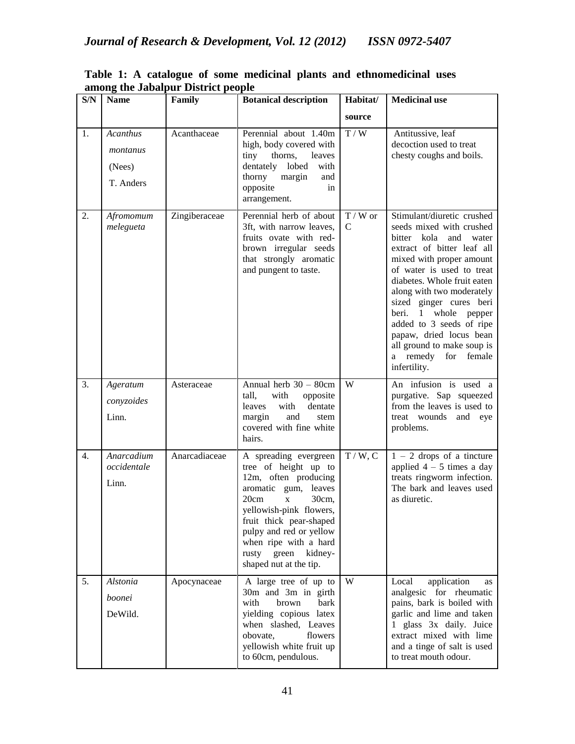| S/N              | <b>Name</b>                                 | Family        | <b>Botanical description</b>                                                                                                                                                                                                                                                                   | Habitat/                 | <b>Medicinal use</b>                                                                                                                                                                                                                                                                                                                                                                                                       |
|------------------|---------------------------------------------|---------------|------------------------------------------------------------------------------------------------------------------------------------------------------------------------------------------------------------------------------------------------------------------------------------------------|--------------------------|----------------------------------------------------------------------------------------------------------------------------------------------------------------------------------------------------------------------------------------------------------------------------------------------------------------------------------------------------------------------------------------------------------------------------|
|                  |                                             |               |                                                                                                                                                                                                                                                                                                | source                   |                                                                                                                                                                                                                                                                                                                                                                                                                            |
| 1.               | Acanthus<br>montanus<br>(Nees)<br>T. Anders | Acanthaceae   | Perennial about 1.40m<br>high, body covered with<br>tiny<br>thorns,<br>leaves<br>dentately lobed<br>with<br>thorny<br>margin<br>and<br>opposite<br>in<br>arrangement.                                                                                                                          | T / W                    | Antitussive, leaf<br>decoction used to treat<br>chesty coughs and boils.                                                                                                                                                                                                                                                                                                                                                   |
| 2.               | Afromomum<br>melegueta                      | Zingiberaceae | Perennial herb of about<br>3ft, with narrow leaves,<br>fruits ovate with red-<br>brown irregular seeds<br>that strongly aromatic<br>and pungent to taste.                                                                                                                                      | $T/W$ or<br>$\mathsf{C}$ | Stimulant/diuretic crushed<br>seeds mixed with crushed<br>bitter kola<br>and<br>water<br>extract of bitter leaf all<br>mixed with proper amount<br>of water is used to treat<br>diabetes. Whole fruit eaten<br>along with two moderately<br>sized ginger cures beri<br>beri.<br>1 whole pepper<br>added to 3 seeds of ripe<br>papaw, dried locus bean<br>all ground to make soup is<br>a remedy for female<br>infertility. |
| $\overline{3}$ . | Ageratum<br>conyzoides<br>Linn.             | Asteraceae    | Annual herb 30 - 80cm<br>with<br>opposite<br>tall,<br>with<br>dentate<br>leaves<br>margin<br>and<br>stem<br>covered with fine white<br>hairs.                                                                                                                                                  | $\overline{W}$           | An infusion is used a<br>purgative. Sap squeezed<br>from the leaves is used to<br>treat wounds<br>and eye<br>problems.                                                                                                                                                                                                                                                                                                     |
| $\overline{4}$ . | Anarcadium<br>occidentale<br>Linn.          | Anarcadiaceae | A spreading evergreen<br>tree of height up to<br>12m, often producing<br>aromatic gum, leaves<br>20cm<br>30cm,<br>$\mathbf X$<br>yellowish-pink flowers,<br>fruit thick pear-shaped<br>pulpy and red or yellow<br>when ripe with a hard<br>green<br>kidney-<br>rusty<br>shaped nut at the tip. | T / W, C                 | $1 - 2$ drops of a tincture<br>applied $4 - 5$ times a day<br>treats ringworm infection.<br>The bark and leaves used<br>as diuretic.                                                                                                                                                                                                                                                                                       |
| 5.               | Alstonia<br>boonei<br>DeWild.               | Apocynaceae   | A large tree of up to<br>30m and 3m in girth<br>with<br>brown<br>bark<br>yielding copious latex<br>when slashed, Leaves<br>flowers<br>obovate,<br>yellowish white fruit up<br>to 60cm, pendulous.                                                                                              | W                        | application<br>Local<br>as<br>analgesic for rheumatic<br>pains, bark is boiled with<br>garlic and lime and taken<br>1 glass 3x daily. Juice<br>extract mixed with lime<br>and a tinge of salt is used<br>to treat mouth odour.                                                                                                                                                                                             |

**Table 1: A catalogue of some medicinal plants and ethnomedicinal uses among the Jabalpur District people**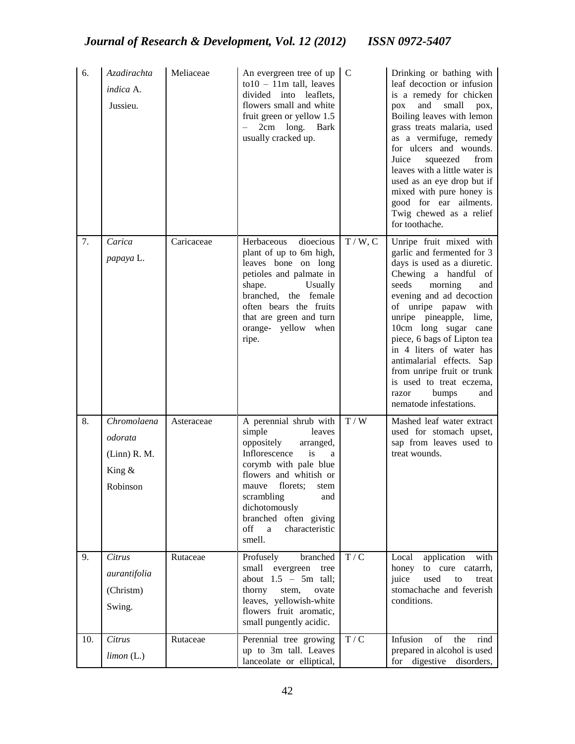| 6.  | Azadirachta<br>indica A.<br>Jussieu.                                         | Meliaceae  | An evergreen tree of up<br>$\text{to}10 - 11\text{m}$ tall, leaves<br>divided into leaflets,<br>flowers small and white<br>fruit green or yellow 1.5<br>- 2cm long. Bark<br>usually cracked up.                                                                                    | $\overline{C}$ | Drinking or bathing with<br>leaf decoction or infusion<br>is a remedy for chicken<br>small<br>and<br>pox,<br>$p_{OX}$<br>Boiling leaves with lemon<br>grass treats malaria, used<br>as a vermifuge, remedy<br>for ulcers and wounds.<br>Juice<br>from<br>squeezed<br>leaves with a little water is<br>used as an eye drop but if<br>mixed with pure honey is<br>good for ear ailments.<br>Twig chewed as a relief<br>for toothache.                       |
|-----|------------------------------------------------------------------------------|------------|------------------------------------------------------------------------------------------------------------------------------------------------------------------------------------------------------------------------------------------------------------------------------------|----------------|-----------------------------------------------------------------------------------------------------------------------------------------------------------------------------------------------------------------------------------------------------------------------------------------------------------------------------------------------------------------------------------------------------------------------------------------------------------|
| 7.  | Carica<br>papaya L.                                                          | Caricaceae | dioecious<br>Herbaceous<br>plant of up to 6m high,<br>leaves bone on long<br>petioles and palmate in<br>shape.<br>Usually<br>branched, the female<br>often bears the fruits<br>that are green and turn<br>orange- yellow when<br>ripe.                                             | T/W, C         | Unripe fruit mixed with<br>garlic and fermented for 3<br>days is used as a diuretic.<br>Chewing a handful of<br>morning<br>seeds<br>and<br>evening and ad decoction<br>of unripe papaw<br>with<br>unripe pineapple,<br>lime,<br>10cm long sugar cane<br>piece, 6 bags of Lipton tea<br>in 4 liters of water has<br>antimalarial effects. Sap<br>from unripe fruit or trunk<br>is used to treat eczema,<br>bumps<br>razor<br>and<br>nematode infestations. |
| 8.  | $\overline{Chromol}$ aena<br>odorata<br>$(Linn)$ R. M.<br>King &<br>Robinson | Asteraceae | A perennial shrub with<br>simple<br>leaves<br>oppositely<br>arranged,<br>Inflorescence<br>is<br>a<br>corymb with pale blue<br>flowers and whitish or<br>mauve florets; stem<br>scrambling<br>and<br>dichotomously<br>branched often giving<br>off<br>characteristic<br>a<br>smell. | T / W          | Mashed leaf water extract<br>used for stomach upset,<br>sap from leaves used to<br>treat wounds.                                                                                                                                                                                                                                                                                                                                                          |
| 9.  | Citrus<br>aurantifolia<br>(Christm)<br>Swing.                                | Rutaceae   | Profusely<br>branched<br>small<br>evergreen<br>tree<br>about $1.5 - 5m$ tall;<br>thorny<br>stem,<br>ovate<br>leaves, yellowish-white<br>flowers fruit aromatic,<br>small pungently acidic.                                                                                         | T/C            | application<br>Local<br>with<br>honey<br>to cure catarrh,<br>used<br>juice<br>to<br>treat<br>stomachache and feverish<br>conditions.                                                                                                                                                                                                                                                                                                                      |
| 10. | Citrus<br>$limon$ (L.)                                                       | Rutaceae   | Perennial tree growing<br>up to 3m tall. Leaves<br>lanceolate or elliptical,                                                                                                                                                                                                       | T/C            | Infusion<br>of<br>the<br>rind<br>prepared in alcohol is used<br>for digestive disorders,                                                                                                                                                                                                                                                                                                                                                                  |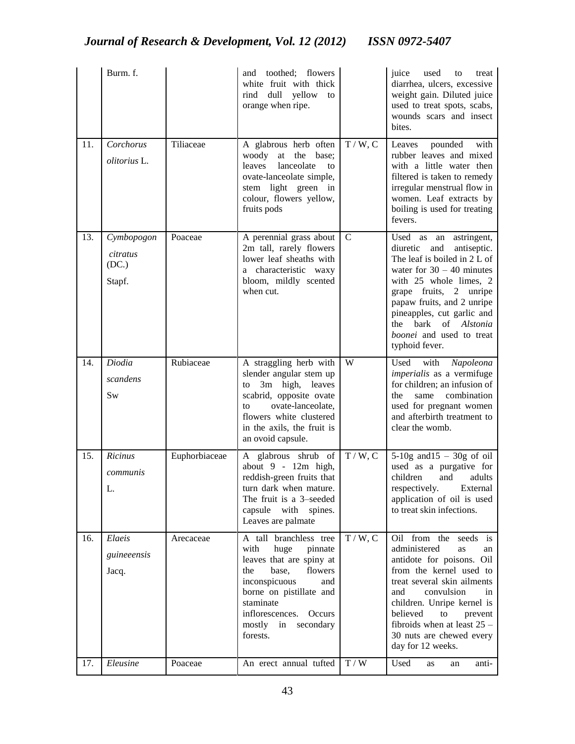|     | Burm. f.                                  |               | toothed; flowers<br>and<br>white fruit with thick<br>yellow<br>dull<br>rind<br>to<br>orange when ripe.                                                                                                                                         |                             | juice<br>used<br>treat<br>to<br>diarrhea, ulcers, excessive<br>weight gain. Diluted juice<br>used to treat spots, scabs,<br>wounds scars and insect<br>bites.                                                                                                                                                                     |
|-----|-------------------------------------------|---------------|------------------------------------------------------------------------------------------------------------------------------------------------------------------------------------------------------------------------------------------------|-----------------------------|-----------------------------------------------------------------------------------------------------------------------------------------------------------------------------------------------------------------------------------------------------------------------------------------------------------------------------------|
| 11. | Corchorus<br>olitorius L.                 | Tiliaceae     | A glabrous herb often<br>woody<br>$\operatorname{at}$<br>the<br>base;<br>leaves<br>lanceolate<br>to<br>ovate-lanceolate simple,<br>stem light green in<br>colour, flowers yellow,<br>fruits pods                                               | T/W, C                      | Leaves<br>pounded<br>with<br>rubber leaves and mixed<br>with a little water then<br>filtered is taken to remedy<br>irregular menstrual flow in<br>women. Leaf extracts by<br>boiling is used for treating<br>fevers.                                                                                                              |
| 13. | Cymbopogon<br>citratus<br>(DC.)<br>Stapf. | Poaceae       | A perennial grass about<br>2m tall, rarely flowers<br>lower leaf sheaths with<br>a characteristic waxy<br>bloom, mildly scented<br>when cut.                                                                                                   | $\mathbf C$                 | Used as an<br>astringent,<br>diuretic<br>and<br>antiseptic.<br>The leaf is boiled in 2 L of<br>water for $30 - 40$ minutes<br>with 25 whole limes, 2<br>grape fruits, 2 unripe<br>papaw fruits, and 2 unripe<br>pineapples, cut garlic and<br>bark<br>$\alpha$ f<br>Alstonia<br>the<br>boonei and used to treat<br>typhoid fever. |
| 14. | Diodia<br>scandens<br><b>Sw</b>           | Rubiaceae     | A straggling herb with<br>slender angular stem up<br>3m high, leaves<br>to<br>scabrid, opposite ovate<br>ovate-lanceolate,<br>to<br>flowers white clustered<br>in the axils, the fruit is<br>an ovoid capsule.                                 | W                           | with<br>Used<br>Napoleona<br>imperialis as a vermifuge<br>for children; an infusion of<br>combination<br>the<br>same<br>used for pregnant women<br>and afterbirth treatment to<br>clear the womb.                                                                                                                                 |
| 15. | Ricinus<br>communis<br>L.                 | Euphorbiaceae | A glabrous shrub of<br>about $9 - 12m$ high,<br>reddish-green fruits that<br>turn dark when mature.<br>The fruit is a 3-seeded<br>capsule<br>with<br>spines.<br>Leaves are palmate                                                             | T / W, C                    | $5-10g$ and $15-30g$ of oil<br>used as a purgative for<br>children<br>and<br>adults<br>respectively.<br>External<br>application of oil is used<br>to treat skin infections.                                                                                                                                                       |
| 16. | Elaeis<br>guineeensis<br>Jacq.            | Arecaceae     | A tall branchless tree<br>with<br>huge<br>pinnate<br>leaves that are spiny at<br>flowers<br>the<br>base,<br>inconspicuous<br>and<br>borne on pistillate and<br>staminate<br>inflorescences.<br>Occurs<br>mostly<br>in<br>secondary<br>forests. | T/W, C                      | Oil from the seeds is<br>administered<br>as<br>an<br>antidote for poisons. Oil<br>from the kernel used to<br>treat several skin ailments<br>convulsion<br>and<br>in<br>children. Unripe kernel is<br>believed<br>to<br>prevent<br>fibroids when at least $25 -$<br>30 nuts are chewed every<br>day for 12 weeks.                  |
| 17. | Eleusine                                  | Poaceae       | An erect annual tufted                                                                                                                                                                                                                         | $\mathbf{T}$ / $\mathbf{W}$ | Used<br>anti-<br>as<br>an                                                                                                                                                                                                                                                                                                         |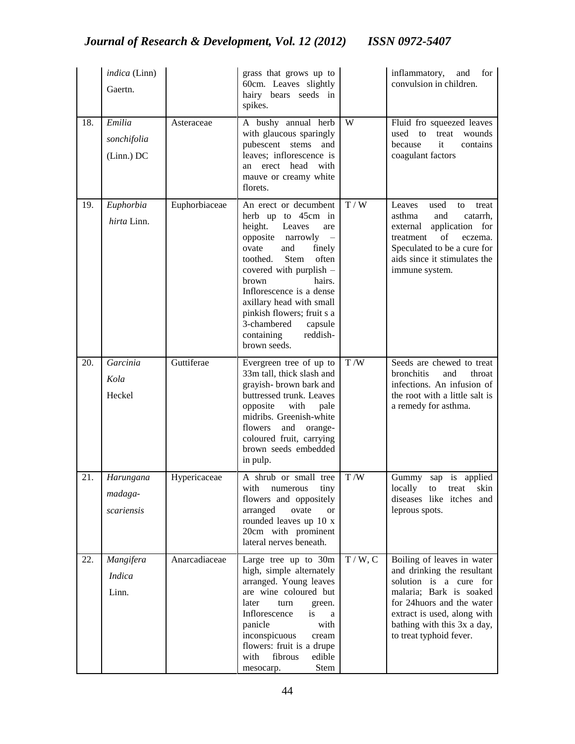|     | indica (Linn)<br>Gaertn.            |               | grass that grows up to<br>60cm. Leaves slightly<br>hairy bears seeds in<br>spikes.                                                                                                                                                                                                                                                                          |        | inflammatory,<br>for<br>and<br>convulsion in children.                                                                                                                                                                               |
|-----|-------------------------------------|---------------|-------------------------------------------------------------------------------------------------------------------------------------------------------------------------------------------------------------------------------------------------------------------------------------------------------------------------------------------------------------|--------|--------------------------------------------------------------------------------------------------------------------------------------------------------------------------------------------------------------------------------------|
| 18. | Emilia<br>sonchifolia<br>(Linn.) DC | Asteraceae    | A bushy annual herb<br>with glaucous sparingly<br>pubescent<br>stems<br>and<br>leaves; inflorescence is<br>erect head<br>with<br>an<br>mauve or creamy white<br>florets.                                                                                                                                                                                    | W      | Fluid fro squeezed leaves<br>used<br>to<br>treat<br>wounds<br>because<br>it<br>contains<br>coagulant factors                                                                                                                         |
| 19. | Euphorbia<br>hirta Linn.            | Euphorbiaceae | An erect or decumbent<br>herb up to 45cm in<br>height.<br>Leaves<br>are<br>opposite narrowly<br>ovate<br>and<br>finely<br>Stem<br>often<br>toothed.<br>covered with purplish -<br>brown<br>hairs.<br>Inflorescence is a dense<br>axillary head with small<br>pinkish flowers; fruit s a<br>3-chambered<br>capsule<br>containing<br>reddish-<br>brown seeds. | T / W  | used<br>Leaves<br>to<br>treat<br>asthma<br>and<br>catarrh,<br>external<br>application for<br>of<br>treatment<br>eczema.<br>Speculated to be a cure for<br>aids since it stimulates the<br>immune system.                             |
| 20. | Garcinia<br>Kola<br>Heckel          | Guttiferae    | Evergreen tree of up to<br>33m tall, thick slash and<br>grayish- brown bark and<br>buttressed trunk. Leaves<br>opposite<br>with<br>pale<br>midribs. Greenish-white<br>flowers<br>and<br>orange-<br>coloured fruit, carrying<br>brown seeds embedded<br>in pulp.                                                                                             | T/W    | Seeds are chewed to treat<br>bronchitis<br>and<br>throat<br>infections. An infusion of<br>the root with a little salt is<br>a remedy for asthma.                                                                                     |
| 21. | Harungana<br>madaga-<br>scariensis  | Hypericaceae  | A shrub or small tree<br>with<br>tiny<br>numerous<br>flowers and oppositely<br>arranged<br>ovate<br><b>or</b><br>rounded leaves up 10 x<br>20cm with prominent<br>lateral nerves beneath.                                                                                                                                                                   | T/W    | sap is applied<br>Gummy<br>locally<br>to<br>treat<br>skin<br>diseases like itches<br>and<br>leprous spots.                                                                                                                           |
| 22. | Mangifera<br><i>Indica</i><br>Linn. | Anarcadiaceae | Large tree up to 30m<br>high, simple alternately<br>arranged. Young leaves<br>are wine coloured but<br>later<br>turn<br>green.<br>Inflorescence<br>is<br>a<br>panicle<br>with<br>inconspicuous<br>cream<br>flowers: fruit is a drupe<br>fibrous<br>with<br>edible<br>Stem<br>mesocarp.                                                                      | T/W, C | Boiling of leaves in water<br>and drinking the resultant<br>solution is a cure for<br>malaria; Bark is soaked<br>for 24 huors and the water<br>extract is used, along with<br>bathing with this 3x a day,<br>to treat typhoid fever. |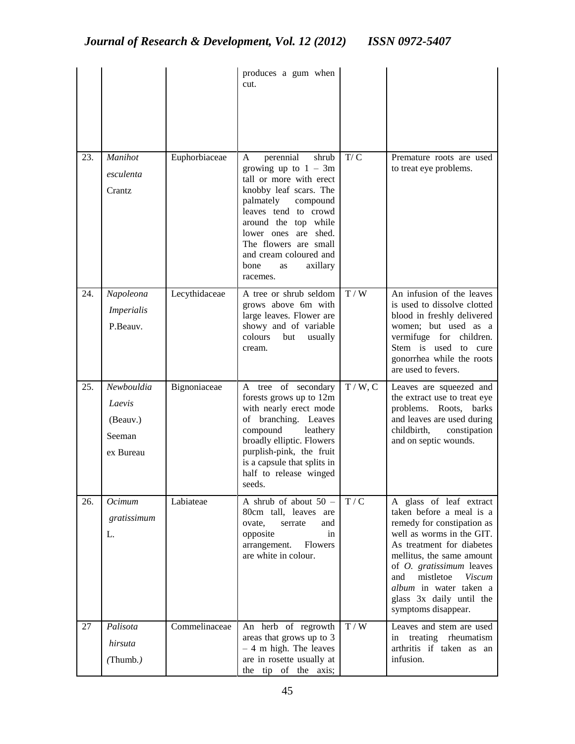|     |                                                         |               | produces a gum when<br>cut.                                                                                                                                                                                                                                                                      |          |                                                                                                                                                                                                                                                                                                                               |
|-----|---------------------------------------------------------|---------------|--------------------------------------------------------------------------------------------------------------------------------------------------------------------------------------------------------------------------------------------------------------------------------------------------|----------|-------------------------------------------------------------------------------------------------------------------------------------------------------------------------------------------------------------------------------------------------------------------------------------------------------------------------------|
| 23. | Manihot<br>esculenta<br>Crantz                          | Euphorbiaceae | perennial<br>shrub<br>A<br>growing up to $1 - 3m$<br>tall or more with erect<br>knobby leaf scars. The<br>palmately<br>compound<br>leaves tend to crowd<br>around the top while<br>lower ones are shed.<br>The flowers are small<br>and cream coloured and<br>bone<br>axillary<br>as<br>racemes. | T/C      | Premature roots are used<br>to treat eye problems.                                                                                                                                                                                                                                                                            |
| 24. | Napoleona<br><i>Imperialis</i><br>P.Beauv.              | Lecythidaceae | A tree or shrub seldom<br>grows above 6m with<br>large leaves. Flower are<br>showy and of variable<br>colours<br>but<br>usually<br>cream.                                                                                                                                                        | T/W      | An infusion of the leaves<br>is used to dissolve clotted<br>blood in freshly delivered<br>women; but used as a<br>vermifuge for children.<br>Stem is used<br>to cure<br>gonorrhea while the roots<br>are used to fevers.                                                                                                      |
| 25. | Newbouldia<br>Laevis<br>(Beauv.)<br>Seeman<br>ex Bureau | Bignoniaceae  | A tree of secondary<br>forests grows up to 12m<br>with nearly erect mode<br>of branching. Leaves<br>compound<br>leathery<br>broadly elliptic. Flowers<br>purplish-pink, the fruit<br>is a capsule that splits in<br>half to release winged<br>seeds.                                             | T / W, C | Leaves are squeezed and<br>the extract use to treat eye<br>problems. Roots,<br>barks<br>and leaves are used during<br>childbirth,<br>constipation<br>and on septic wounds.                                                                                                                                                    |
| 26. | Ocimum<br>gratissimum<br>L.                             | Labiateae     | A shrub of about $50 -$<br>80cm tall, leaves are<br>ovate,<br>serrate<br>and<br>opposite<br>in<br>arrangement.<br>Flowers<br>are white in colour.                                                                                                                                                | T/C      | A glass of leaf extract<br>taken before a meal is a<br>remedy for constipation as<br>well as worms in the GIT.<br>As treatment for diabetes<br>mellitus, the same amount<br>of <i>O. gratissimum</i> leaves<br>mistletoe<br><b>Viscum</b><br>and<br>album in water taken a<br>glass 3x daily until the<br>symptoms disappear. |
| 27  | Palisota<br>hirsuta<br>(Thumb.)                         | Commelinaceae | An herb of regrowth<br>areas that grows up to 3<br>$-4$ m high. The leaves<br>are in rosette usually at<br>the tip of the axis;                                                                                                                                                                  | T / W    | Leaves and stem are used<br>in treating rheumatism<br>arthritis if taken as an<br>infusion.                                                                                                                                                                                                                                   |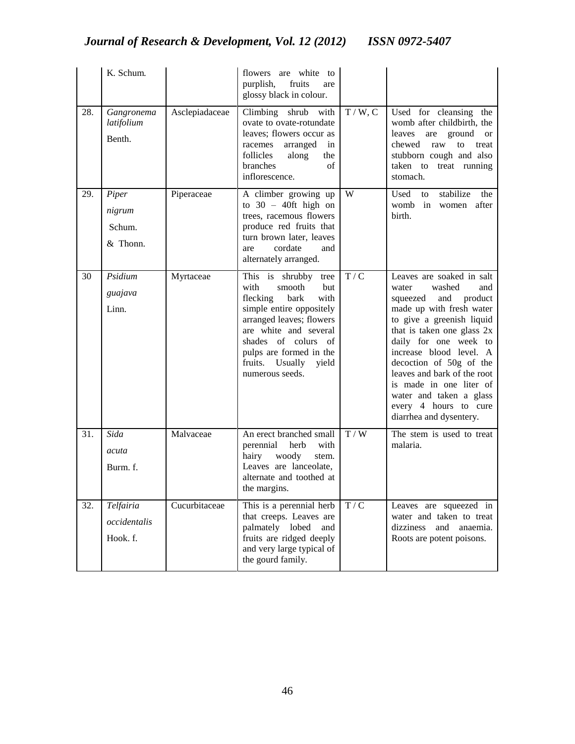|     | K. Schum.                             |                | flowers are white to<br>purplish,<br>fruits<br>are<br>glossy black in colour.                                                                                                                                                                               |                                             |                                                                                                                                                                                                                                                                                                                                                                                                  |
|-----|---------------------------------------|----------------|-------------------------------------------------------------------------------------------------------------------------------------------------------------------------------------------------------------------------------------------------------------|---------------------------------------------|--------------------------------------------------------------------------------------------------------------------------------------------------------------------------------------------------------------------------------------------------------------------------------------------------------------------------------------------------------------------------------------------------|
| 28. | Gangronema<br>latifolium<br>Benth.    | Asclepiadaceae | Climbing shrub with<br>ovate to ovate-rotundate<br>leaves; flowers occur as<br>arranged<br>racemes<br>in<br>follicles<br>along<br>the<br>branches<br>of<br>inflorescence.                                                                                   | T / W, C                                    | Used for cleansing the<br>womb after childbirth, the<br>ground<br>leaves<br>are<br><b>or</b><br>chewed<br>raw<br>to<br>treat<br>stubborn cough and also<br>taken<br>to treat running<br>stomach.                                                                                                                                                                                                 |
| 29. | Piper<br>nigrum<br>Schum.<br>& Thonn. | Piperaceae     | A climber growing up<br>to $30 - 40$ ft high on<br>trees, racemous flowers<br>produce red fruits that<br>turn brown later, leaves<br>cordate<br>and<br>are<br>alternately arranged.                                                                         | W                                           | stabilize<br>Used<br>the<br>to<br>womb<br>in<br>after<br>women<br>birth.                                                                                                                                                                                                                                                                                                                         |
| 30  | Psidium<br>guajava<br>Linn.           | Myrtaceae      | This is shrubby tree<br>with<br>smooth<br>but<br>flecking<br>bark<br>with<br>simple entire oppositely<br>arranged leaves; flowers<br>are white and several<br>shades of colurs of<br>pulps are formed in the<br>fruits. Usually<br>yield<br>numerous seeds. | T/C                                         | Leaves are soaked in salt<br>washed<br>and<br>water<br>squeezed<br>and<br>product<br>made up with fresh water<br>to give a greenish liquid<br>that is taken one glass 2x<br>daily for one week to<br>increase blood level. A<br>decoction of 50g of the<br>leaves and bark of the root<br>is made in one liter of<br>water and taken a glass<br>every 4 hours to cure<br>diarrhea and dysentery. |
| 31. | Sida<br>acuta<br>Burm. f.             | Malvaceae      | An erect branched small<br>perennial<br>herb<br>with<br>hairy<br>woody<br>stem.<br>Leaves are lanceolate,<br>alternate and toothed at<br>the margins.                                                                                                       | T / W                                       | The stem is used to treat<br>malaria.                                                                                                                                                                                                                                                                                                                                                            |
| 32. | Telfairia<br>occidentalis<br>Hook. f. | Cucurbitaceae  | This is a perennial herb<br>that creeps. Leaves are<br>palmately lobed<br>and<br>fruits are ridged deeply<br>and very large typical of<br>the gourd family.                                                                                                 | $\ensuremath{\mathcal{T}}\xspace/\xspace$ C | Leaves are squeezed in<br>water and taken to treat<br>dizziness<br>anaemia.<br>and<br>Roots are potent poisons.                                                                                                                                                                                                                                                                                  |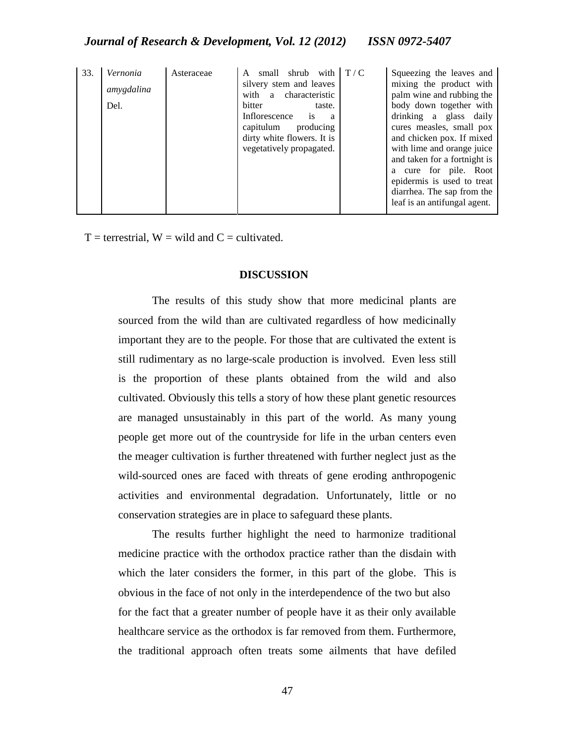| 33. | Vernonia<br>amygdalina<br>Del. | Asteraceae | small shrub with<br>A<br>silvery stem and leaves<br>with a characteristic<br>bitter<br>taste.<br>is<br>Inflorescence<br>a a<br>capitulum producing<br>dirty white flowers. It is<br>vegetatively propagated. | T/C | Squeezing the leaves and<br>mixing the product with<br>palm wine and rubbing the<br>body down together with<br>drinking a glass daily<br>cures measles, small pox<br>and chicken pox. If mixed<br>with lime and orange juice<br>and taken for a fortnight is<br>a cure for pile. Root<br>epidermis is used to treat<br>diarrhea. The sap from the<br>leaf is an antifungal agent. |
|-----|--------------------------------|------------|--------------------------------------------------------------------------------------------------------------------------------------------------------------------------------------------------------------|-----|-----------------------------------------------------------------------------------------------------------------------------------------------------------------------------------------------------------------------------------------------------------------------------------------------------------------------------------------------------------------------------------|
|-----|--------------------------------|------------|--------------------------------------------------------------------------------------------------------------------------------------------------------------------------------------------------------------|-----|-----------------------------------------------------------------------------------------------------------------------------------------------------------------------------------------------------------------------------------------------------------------------------------------------------------------------------------------------------------------------------------|

 $T =$  terrestrial,  $W =$  wild and  $C =$  cultivated.

## **DISCUSSION**

The results of this study show that more medicinal plants are sourced from the wild than are cultivated regardless of how medicinally important they are to the people. For those that are cultivated the extent is still rudimentary as no large-scale production is involved. Even less still is the proportion of these plants obtained from the wild and also cultivated. Obviously this tells a story of how these plant genetic resources are managed unsustainably in this part of the world. As many young people get more out of the countryside for life in the urban centers even the meager cultivation is further threatened with further neglect just as the wild-sourced ones are faced with threats of gene eroding anthropogenic activities and environmental degradation. Unfortunately, little or no conservation strategies are in place to safeguard these plants.

The results further highlight the need to harmonize traditional medicine practice with the orthodox practice rather than the disdain with which the later considers the former, in this part of the globe. This is obvious in the face of not only in the interdependence of the two but also for the fact that a greater number of people have it as their only available healthcare service as the orthodox is far removed from them. Furthermore, the traditional approach often treats some ailments that have defiled